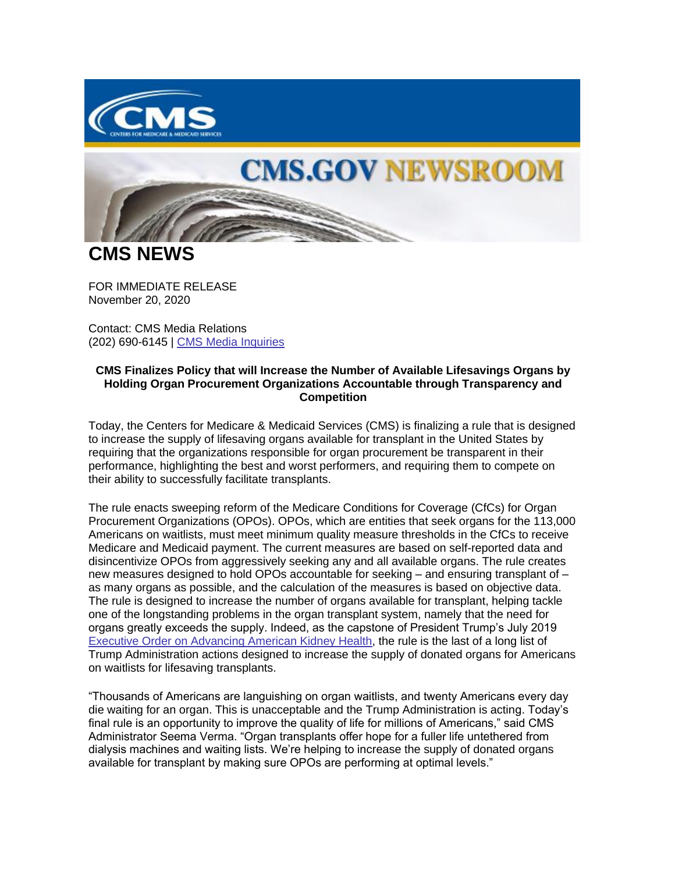

## **CMS.GOV NEWSROOM**

**CMS NEWS**

FOR IMMEDIATE RELEASE November 20, 2020

Contact: CMS Media Relations (202) 690-6145 | [CMS Media Inquiries](https://lnks.gd/l/eyJhbGciOiJIUzI1NiJ9.eyJidWxsZXRpbl9saW5rX2lkIjoxMDAsInVyaSI6ImJwMjpjbGljayIsImJ1bGxldGluX2lkIjoiMjAyMDExMjAuMzA4ODg0OTEiLCJ1cmwiOiJodHRwczovL3d3dy5jbXMuZ292L25ld3Nyb29tL21lZGlhLWlucXVpcmllcyJ9.Eru3x5QmLfsEWe4xQe5XQRQZLcTcbjLDJ20HmgWjkvM/s/1086872215/br/90197923080-l)

## **CMS Finalizes Policy that will Increase the Number of Available Lifesavings Organs by Holding Organ Procurement Organizations Accountable through Transparency and Competition**

Today, the Centers for Medicare & Medicaid Services (CMS) is finalizing a rule that is designed to increase the supply of lifesaving organs available for transplant in the United States by requiring that the organizations responsible for organ procurement be transparent in their performance, highlighting the best and worst performers, and requiring them to compete on their ability to successfully facilitate transplants.

The rule enacts sweeping reform of the Medicare Conditions for Coverage (CfCs) for Organ Procurement Organizations (OPOs). OPOs, which are entities that seek organs for the 113,000 Americans on waitlists, must meet minimum quality measure thresholds in the CfCs to receive Medicare and Medicaid payment. The current measures are based on self-reported data and disincentivize OPOs from aggressively seeking any and all available organs. The rule creates new measures designed to hold OPOs accountable for seeking – and ensuring transplant of – as many organs as possible, and the calculation of the measures is based on objective data. The rule is designed to increase the number of organs available for transplant, helping tackle one of the longstanding problems in the organ transplant system, namely that the need for organs greatly exceeds the supply. Indeed, as the capstone of President Trump's July 2019 [Executive Order on Advancing American Kidney Health,](https://lnks.gd/l/eyJhbGciOiJIUzI1NiJ9.eyJidWxsZXRpbl9saW5rX2lkIjoxMDEsInVyaSI6ImJwMjpjbGljayIsImJ1bGxldGluX2lkIjoiMjAyMDExMjAuMzA4ODg0OTEiLCJ1cmwiOiJodHRwczovL3d3dy53aGl0ZWhvdXNlLmdvdi9wcmVzaWRlbnRpYWwtYWN0aW9ucy9leGVjdXRpdmUtb3JkZXItYWR2YW5jaW5nLWFtZXJpY2FuLWtpZG5leS1oZWFsdGgvIn0.T2c9JcVdKazaievrwipRLO0QIJlikoKpPsv7LQ7xu9Y/s/1086872215/br/90197923080-l) the rule is the last of a long list of Trump Administration actions designed to increase the supply of donated organs for Americans on waitlists for lifesaving transplants.

"Thousands of Americans are languishing on organ waitlists, and twenty Americans every day die waiting for an organ. This is unacceptable and the Trump Administration is acting. Today's final rule is an opportunity to improve the quality of life for millions of Americans," said CMS Administrator Seema Verma. "Organ transplants offer hope for a fuller life untethered from dialysis machines and waiting lists. We're helping to increase the supply of donated organs available for transplant by making sure OPOs are performing at optimal levels."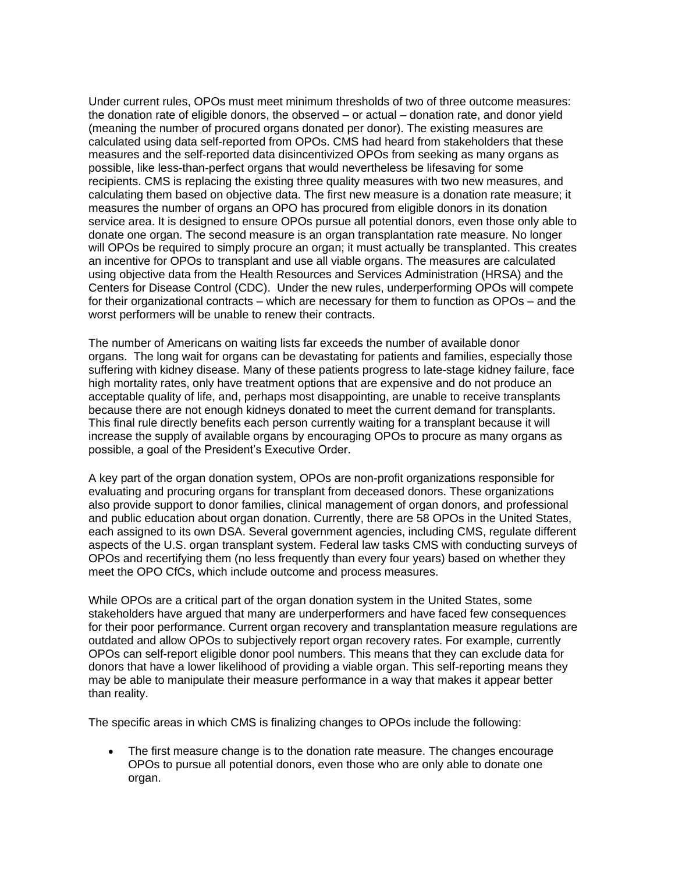Under current rules, OPOs must meet minimum thresholds of two of three outcome measures: the donation rate of eligible donors, the observed – or actual – donation rate, and donor yield (meaning the number of procured organs donated per donor). The existing measures are calculated using data self-reported from OPOs. CMS had heard from stakeholders that these measures and the self-reported data disincentivized OPOs from seeking as many organs as possible, like less-than-perfect organs that would nevertheless be lifesaving for some recipients. CMS is replacing the existing three quality measures with two new measures, and calculating them based on objective data. The first new measure is a donation rate measure; it measures the number of organs an OPO has procured from eligible donors in its donation service area. It is designed to ensure OPOs pursue all potential donors, even those only able to donate one organ. The second measure is an organ transplantation rate measure. No longer will OPOs be required to simply procure an organ; it must actually be transplanted. This creates an incentive for OPOs to transplant and use all viable organs. The measures are calculated using objective data from the Health Resources and Services Administration (HRSA) and the Centers for Disease Control (CDC). Under the new rules, underperforming OPOs will compete for their organizational contracts – which are necessary for them to function as OPOs – and the worst performers will be unable to renew their contracts.

The number of Americans on waiting lists far exceeds the number of available donor organs. The long wait for organs can be devastating for patients and families, especially those suffering with kidney disease. Many of these patients progress to late-stage kidney failure, face high mortality rates, only have treatment options that are expensive and do not produce an acceptable quality of life, and, perhaps most disappointing, are unable to receive transplants because there are not enough kidneys donated to meet the current demand for transplants. This final rule directly benefits each person currently waiting for a transplant because it will increase the supply of available organs by encouraging OPOs to procure as many organs as possible, a goal of the President's Executive Order.

A key part of the organ donation system, OPOs are non-profit organizations responsible for evaluating and procuring organs for transplant from deceased donors. These organizations also provide support to donor families, clinical management of organ donors, and professional and public education about organ donation. Currently, there are 58 OPOs in the United States, each assigned to its own DSA. Several government agencies, including CMS, regulate different aspects of the U.S. organ transplant system. Federal law tasks CMS with conducting surveys of OPOs and recertifying them (no less frequently than every four years) based on whether they meet the OPO CfCs, which include outcome and process measures.

While OPOs are a critical part of the organ donation system in the United States, some stakeholders have argued that many are underperformers and have faced few consequences for their poor performance. Current organ recovery and transplantation measure regulations are outdated and allow OPOs to subjectively report organ recovery rates. For example, currently OPOs can self-report eligible donor pool numbers. This means that they can exclude data for donors that have a lower likelihood of providing a viable organ. This self-reporting means they may be able to manipulate their measure performance in a way that makes it appear better than reality.

The specific areas in which CMS is finalizing changes to OPOs include the following:

• The first measure change is to the donation rate measure. The changes encourage OPOs to pursue all potential donors, even those who are only able to donate one organ.